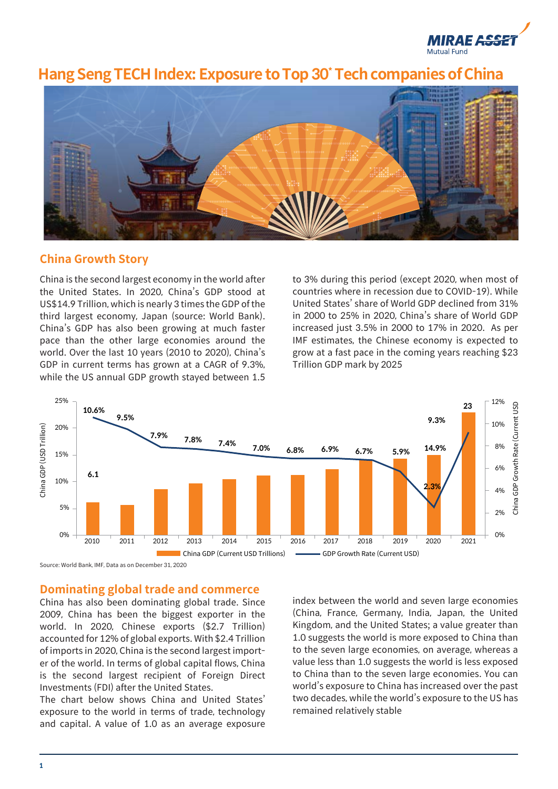

# **Hang Seng TECH Index: Exposure to Top 30\* Tech companies of China**



## **China Growth Story**

China is the second largest economy in the world after the United States. In 2020, China's GDP stood at US\$14.9 Trillion, which is nearly 3 times the GDP of the third largest economy, Japan (source: World Bank). China's GDP has also been growing at much faster pace than the other large economies around the world. Over the last 10 years (2010 to 2020), China's GDP in current terms has grown at a CAGR of 9.3%, while the US annual GDP growth stayed between 1.5

to 3% during this period (except 2020, when most of countries where in recession due to COVID-19). While United States' share of World GDP declined from 31% in 2000 to 25% in 2020, China's share of World GDP increased just 3.5% in 2000 to 17% in 2020. As per IMF estimates, the Chinese economy is expected to grow at a fast pace in the coming years reaching \$23 Trillion GDP mark by 2025



Source: World Bank, IMF, Data as on December 31, 2020

#### **Dominating global trade and commerce**

China has also been dominating global trade. Since 2009, China has been the biggest exporter in the world. In 2020, Chinese exports (\$2.7 Trillion) accounted for 12% of global exports. With \$2.4 Trillion of imports in 2020, China is the second largest importer of the world. In terms of global capital flows, China is the second largest recipient of Foreign Direct Investments (FDI) after the United States.

The chart below shows China and United States' exposure to the world in terms of trade, technology and capital. A value of 1.0 as an average exposure

index between the world and seven large economies (China, France, Germany, India, Japan, the United Kingdom, and the United States; a value greater than 1.0 suggests the world is more exposed to China than to the seven large economies, on average, whereas a value less than 1.0 suggests the world is less exposed to China than to the seven large economies. You can world's exposure to China has increased over the past two decades, while the world's exposure to the US has remained relatively stable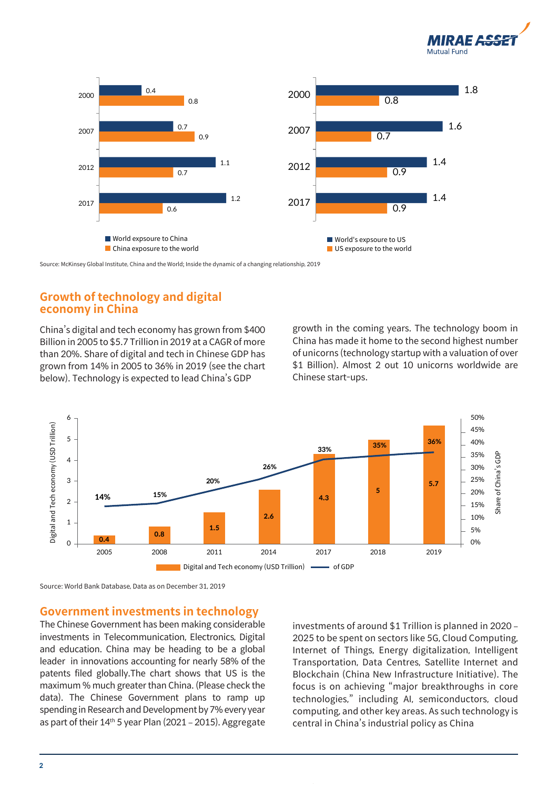



Source: McKinsey Global Institute, China and the World; Inside the dynamic of a changing relationship, 2019

# **Growth of technology and digital economy in China**

China's digital and tech economy has grown from \$400 Billion in 2005 to \$5.7 Trillion in 2019 at a CAGR of more than 20%. Share of digital and tech in Chinese GDP has grown from 14% in 2005 to 36% in 2019 (see the chart below). Technology is expected to lead China's GDP

growth in the coming years. The technology boom in China has made it home to the second highest number of unicorns (technology startup with a valuation of over \$1 Billion). Almost 2 out 10 unicorns worldwide are Chinese start-ups.



Source: World Bank Database, Data as on December 31, 2019

#### **Government investments in technology**

The Chinese Government has been making considerable investments in Telecommunication, Electronics, Digital and education. China may be heading to be a global leader in innovations accounting for nearly 58% of the patents filed globally.The chart shows that US is the maximum % much greater than China. (Please check the data). The Chinese Government plans to ramp up spending in Research and Development by 7% every year as part of their 14th 5 year Plan (2021 – 2015). Aggregate

investments of around \$1 Trillion is planned in 2020 – 2025 to be spent on sectors like 5G, Cloud Computing, Internet of Things, Energy digitalization, Intelligent Transportation, Data Centres, Satellite Internet and Blockchain (China New Infrastructure Initiative). The focus is on achieving "major breakthroughs in core technologies," including AI, semiconductors, cloud computing, and other key areas. As such technology is central in China's industrial policy as China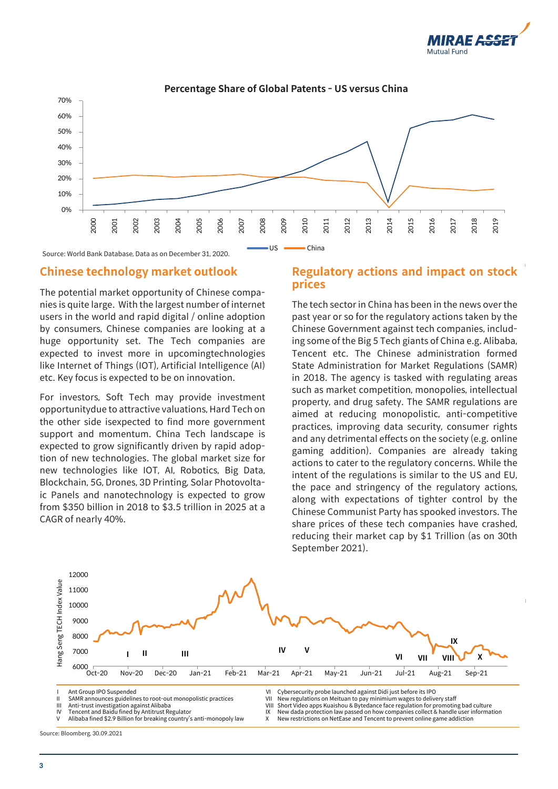



#### **Percentage Share of Global Patents - US versus China**

Source: World Bank Database, Data as on December 31, 2020.

#### **Chinese technology market outlook**

The potential market opportunity of Chinese companies is quite large. With the largest number of internet users in the world and rapid digital / online adoption by consumers, Chinese companies are looking at a huge opportunity set. The Tech companies are expected to invest more in upcomingtechnologies like Internet of Things (IOT), Artificial Intelligence (AI) etc. Key focus is expected to be on innovation.

For investors, Soft Tech may provide investment opportunitydue to attractive valuations, Hard Tech on the other side isexpected to find more government support and momentum. China Tech landscape is expected to grow significantly driven by rapid adoption of new technologies. The global market size for new technologies like IOT, AI, Robotics, Big Data, Blockchain, 5G, Drones, 3D Printing, Solar Photovoltaic Panels and nanotechnology is expected to grow from \$350 billion in 2018 to \$3.5 trillion in 2025 at a CAGR of nearly 40%.

#### **Regulatory actions and impact on stock prices**

The tech sector in China has been in the news over the past year or so for the regulatory actions taken by the Chinese Government against tech companies, including some of the Big 5 Tech giants of China e.g. Alibaba, Tencent etc. The Chinese administration formed State Administration for Market Regulations (SAMR) in 2018. The agency is tasked with regulating areas such as market competition, monopolies, intellectual property, and drug safety. The SAMR regulations are aimed at reducing monopolistic, anti-competitive practices, improving data security, consumer rights and any detrimental effects on the society (e.g. online gaming addition). Companies are already taking actions to cater to the regulatory concerns. While the intent of the regulations is similar to the US and EU, the pace and stringency of the regulatory actions, along with expectations of tighter control by the Chinese Communist Party has spooked investors. The share prices of these tech companies have crashed, reducing their market cap by \$1 Trillion (as on 30th September 2021).



Alibaba fined \$2.9 Billion for breaking country's anti-monopoly law

X New restrictions on NetEase and Tencent to prevent online game addiction

Source: Bloomberg, 30.09.2021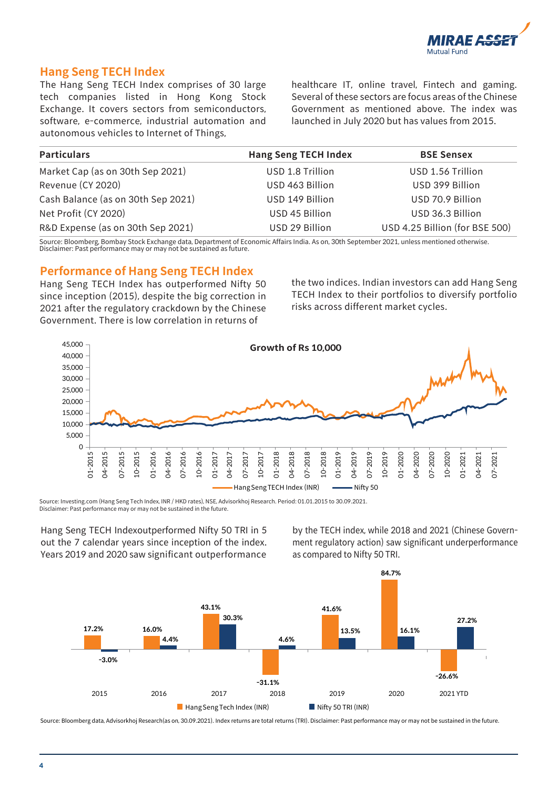

## **Hang Seng TECH Index**

The Hang Seng TECH Index comprises of 30 large tech companies listed in Hong Kong Stock Exchange. It covers sectors from semiconductors, software, e-commerce, industrial automation and autonomous vehicles to Internet of Things,

healthcare IT, online travel, Fintech and gaming. Several of these sectors are focus areas of the Chinese Government as mentioned above. The index was launched in July 2020 but has values from 2015.

| <b>Particulars</b>                 | <b>Hang Seng TECH Index</b> | <b>BSE Sensex</b>              |
|------------------------------------|-----------------------------|--------------------------------|
| Market Cap (as on 30th Sep 2021)   | USD 1.8 Trillion            | USD 1.56 Trillion              |
| Revenue (CY 2020)                  | USD 463 Billion             | USD 399 Billion                |
| Cash Balance (as on 30th Sep 2021) | USD 149 Billion             | USD 70.9 Billion               |
| Net Profit (CY 2020)               | USD 45 Billion              | USD 36.3 Billion               |
| R&D Expense (as on 30th Sep 2021)  | USD 29 Billion              | USD 4.25 Billion (for BSE 500) |

Source: Bloomberg, Bombay Stock Exchange data, Department of Economic Affairs India. As on, 30th September 2021, unless mentioned otherwise. Disclaimer: Past performance may or may not be sustained as future.

#### **Performance of Hang Seng TECH Index**

Hang Seng TECH Index has outperformed Nifty 50 since inception (2015), despite the big correction in 2021 after the regulatory crackdown by the Chinese Government. There is low correlation in returns of

the two indices. Indian investors can add Hang Seng TECH Index to their portfolios to diversify portfolio risks across different market cycles.



Hang Seng TECH Indexoutperformed Nifty 50 TRI in 5 out the 7 calendar years since inception of the index. Years 2019 and 2020 saw significant outperformance by the TECH index, while 2018 and 2021 (Chinese Government regulatory action) saw significant underperformance as compared to Nifty 50 TRI.



Source: Bloomberg data, Advisorkhoj Research(as on, 30.09.2021). Index returns are total returns (TRI). Disclaimer: Past performance may or may not be sustained in the future.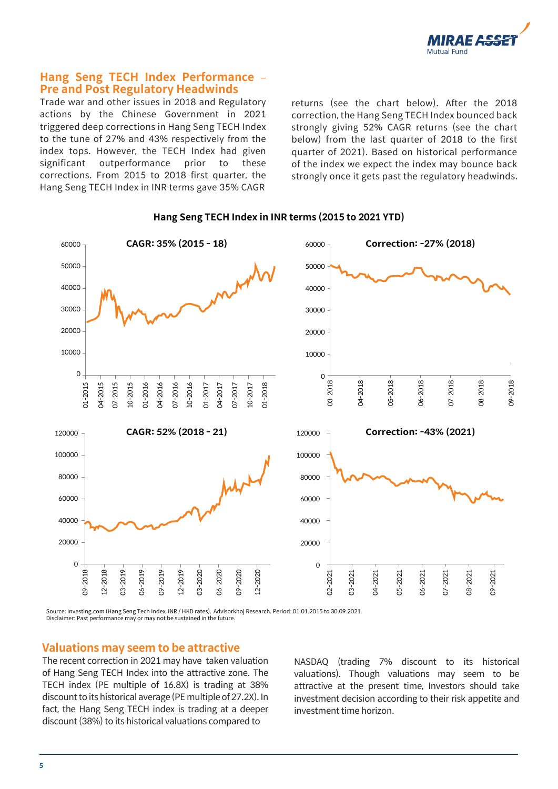

#### **Hang Seng TECH Index Performance** – **Pre and Post Regulatory Headwinds**

Trade war and other issues in 2018 and Regulatory actions by the Chinese Government in 2021 triggered deep corrections in Hang Seng TECH Index to the tune of 27% and 43% respectively from the index tops. However, the TECH Index had given significant outperformance prior to these corrections. From 2015 to 2018 first quarter, the Hang Seng TECH Index in INR terms gave 35% CAGR

returns (see the chart below). After the 2018 correction, the Hang Seng TECH Index bounced back strongly giving 52% CAGR returns (see the chart below) from the last quarter of 2018 to the first quarter of 2021). Based on historical performance of the index we expect the index may bounce back strongly once it gets past the regulatory headwinds.



#### **Hang Seng TECH Index in INR terms (2015 to 2021 YTD)**

Source: Investing.com (Hang Seng Tech Index, INR / HKD rates), Advisorkhoj Research. Period: 01.01.2015 to 30.09.2021. Disclaimer: Past performance may or may not be sustained in the future.

## **Valuations may seem to be attractive**

The recent correction in 2021 may have taken valuation of Hang Seng TECH Index into the attractive zone. The TECH index (PE multiple of 16.8X) is trading at 38% discount to its historical average (PE multiple of 27.2X). In fact, the Hang Seng TECH index is trading at a deeper discount (38%) to its historical valuations compared to

NASDAQ (trading 7% discount to its historical valuations). Though valuations may seem to be attractive at the present time, Investors should take investment decision according to their risk appetite and investment time horizon.